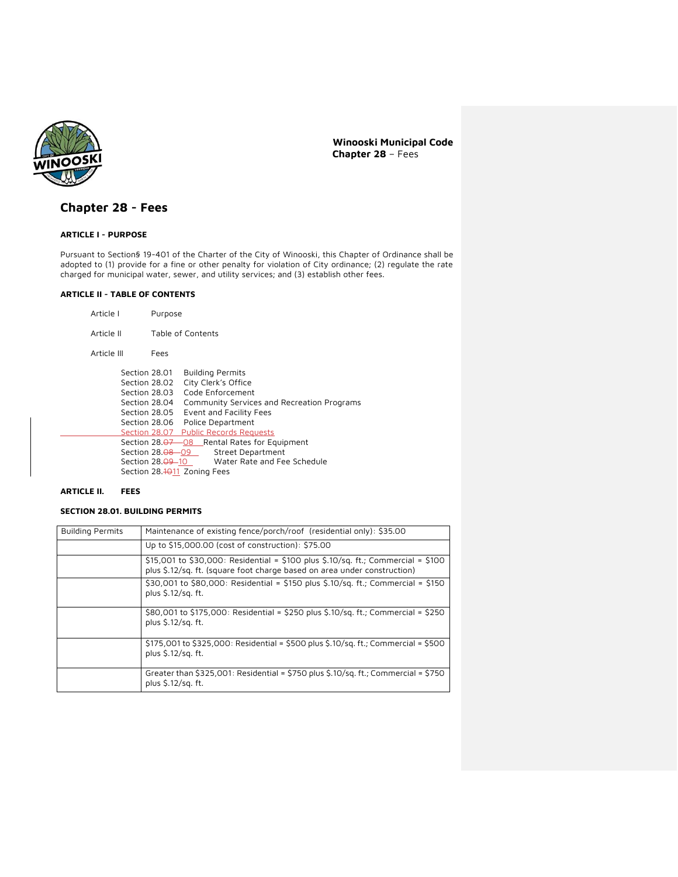

# **Chapter 28 - Fees**

## **ARTICLE I - PURPOSE**

Pursuant to Section§ 19-401 of the Charter of the City of Winooski, this Chapter of Ordinance shall be adopted to (1) provide for a fine or other penalty for violation of City ordinance; (2) regulate the rate charged for municipal water, sewer, and utility services; and (3) establish other fees.

#### **ARTICLE II - TABLE OF CONTENTS**

- Article I Purpose
	- Article II Table of Contents
	- Article III Fees

| Section 28.01                  | <b>Building Permits</b>                         |
|--------------------------------|-------------------------------------------------|
| Section 28.02                  | City Clerk's Office                             |
| Section 28.03                  | Code Enforcement                                |
| Section 28.04                  | Community Services and Recreation Programs      |
| Section 28.05                  | Event and Facility Fees                         |
| Section 28.06                  | Police Department                               |
|                                | Section 28.07 Public Records Requests           |
|                                | Section 28.07 08 Rental Rates for Equipment     |
|                                | Section 28. <del>08 0</del> 9 Street Department |
| Section 28. <del>09 -</del> 10 | Water Rate and Fee Schedule                     |
| Section 28.4011 Zoning Fees    |                                                 |

#### **ARTICLE II. FEES**

### **SECTION 28.01. BUILDING PERMITS**

| <b>Building Permits</b> | Maintenance of existing fence/porch/roof (residential only): \$35.00                                                                                                |
|-------------------------|---------------------------------------------------------------------------------------------------------------------------------------------------------------------|
|                         | Up to \$15,000.00 (cost of construction): \$75.00                                                                                                                   |
|                         | $$15,001$ to $$30,000$ : Residential = $$100$ plus $$.10/sq$ . ft.; Commercial = $$100$<br>plus \$.12/sq. ft. (square foot charge based on area under construction) |
|                         | \$30,001 to \$80,000: Residential = \$150 plus \$.10/sq. ft.; Commercial = \$150<br>plus \$.12/sq. ft.                                                              |
|                         | \$80,001 to \$175,000: Residential = \$250 plus \$.10/sq. ft.; Commercial = \$250<br>plus \$.12/sq. ft.                                                             |
|                         | $$175,001$ to $$325,000$ : Residential = $$500$ plus $$.10/sq$ . ft.; Commercial = $$500$<br>plus \$.12/sq. ft.                                                     |
|                         | Greater than $$325,001$ : Residential = $$750$ plus $$.10/sq$ . ft.; Commercial = $$750$<br>plus \$.12/sq. ft.                                                      |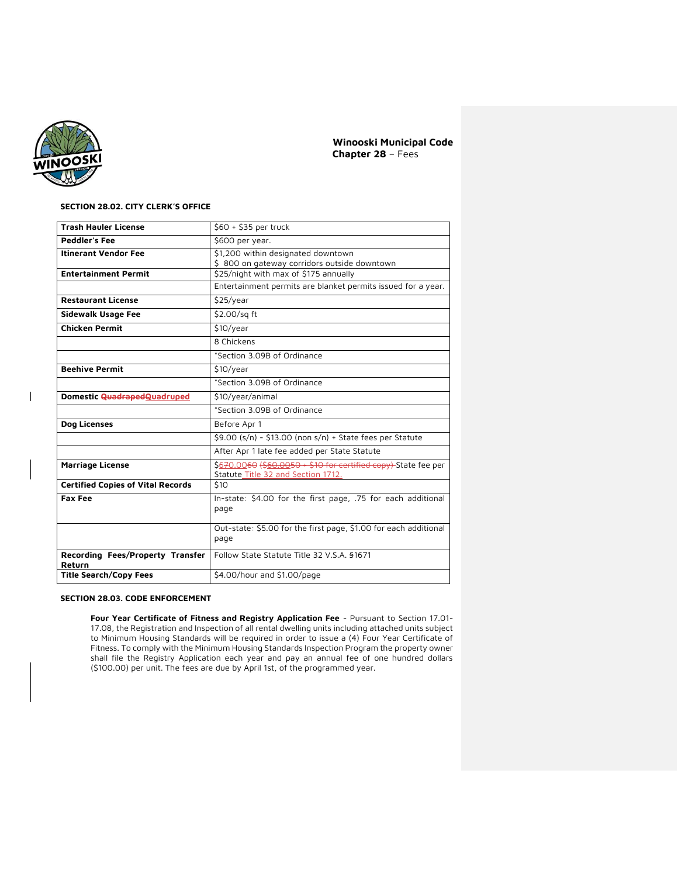

 $\begin{array}{c} \hline \end{array}$ 

## **SECTION 28.02. CITY CLERK'S OFFICE**

| <b>Trash Hauler License</b>                | \$60 + \$35 per truck                                                                                            |  |
|--------------------------------------------|------------------------------------------------------------------------------------------------------------------|--|
| <b>Peddler's Fee</b>                       | \$600 per year.                                                                                                  |  |
| <b>Itinerant Vendor Fee</b>                | \$1,200 within designated downtown<br>\$800 on gateway corridors outside downtown                                |  |
| <b>Entertainment Permit</b>                | \$25/night with max of \$175 annually                                                                            |  |
|                                            | Entertainment permits are blanket permits issued for a year.                                                     |  |
| <b>Restaurant License</b>                  | \$25/year                                                                                                        |  |
| <b>Sidewalk Usage Fee</b>                  | \$2.00/sq ft                                                                                                     |  |
| <b>Chicken Permit</b>                      | \$10/year                                                                                                        |  |
|                                            | 8 Chickens                                                                                                       |  |
|                                            | *Section 3.09B of Ordinance                                                                                      |  |
| <b>Beehive Permit</b>                      | \$10/year                                                                                                        |  |
|                                            | *Section 3.09B of Ordinance                                                                                      |  |
| Domestic QuadrapedQuadruped                | \$10/year/animal                                                                                                 |  |
|                                            | *Section 3.09B of Ordinance                                                                                      |  |
| Dog Licenses                               | Before Apr 1                                                                                                     |  |
|                                            | \$9.00 (s/n) - \$13.00 (non s/n) + State fees per Statute                                                        |  |
|                                            | After Apr 1 late fee added per State Statute                                                                     |  |
| <b>Marriage License</b>                    | \$670.00 <del>60 (\$60.0050 + \$10 for certified copy)</del> State fee per<br>Statute Title 32 and Section 1712. |  |
| <b>Certified Copies of Vital Records</b>   | \$10                                                                                                             |  |
| <b>Fax Fee</b>                             | In-state: \$4.00 for the first page, .75 for each additional<br>page                                             |  |
|                                            | Out-state: \$5.00 for the first page, \$1.00 for each additional<br>page                                         |  |
| Recording Fees/Property Transfer<br>Return | Follow State Statute Title 32 V.S.A. §1671                                                                       |  |
| <b>Title Search/Copy Fees</b>              | \$4.00/hour and \$1.00/page                                                                                      |  |

### **SECTION 28.03. CODE ENFORCEMENT**

**Four Year Certificate of Fitness and Registry Application Fee** - Pursuant to Section 17.01- 17.08, the Registration and Inspection of all rental dwelling units including attached units subject to Minimum Housing Standards will be required in order to issue a (4) Four Year Certificate of Fitness. To comply with the Minimum Housing Standards Inspection Program the property owner shall file the Registry Application each year and pay an annual fee of one hundred dollars (\$100.00) per unit. The fees are due by April 1st, of the programmed year.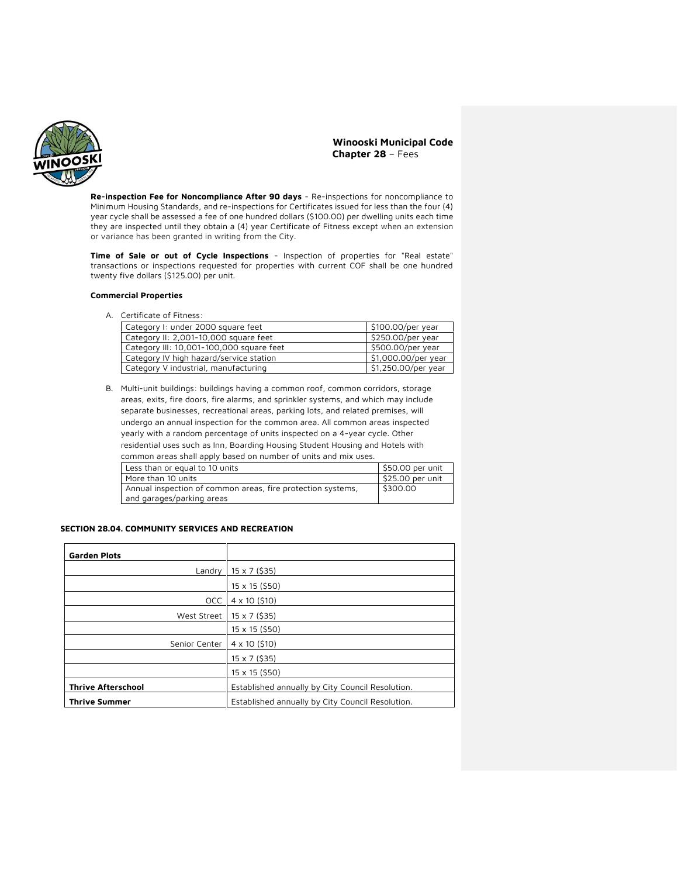

**Re-inspection Fee for Noncompliance After 90 days** - Re-inspections for noncompliance to Minimum Housing Standards, and re-inspections for Certificates issued for less than the four (4) year cycle shall be assessed a fee of one hundred dollars (\$100.00) per dwelling units each time they are inspected until they obtain a (4) year Certificate of Fitness except when an extension or variance has been granted in writing from the City.

**Time of Sale or out of Cycle Inspections** - Inspection of properties for "Real estate" transactions or inspections requested for properties with current COF shall be one hundred twenty five dollars (\$125.00) per unit.

### **Commercial Properties**

A. Certificate of Fitness:

| Category I: under 2000 square feet       | \$100.00/per year   |
|------------------------------------------|---------------------|
| Category II: 2,001-10,000 square feet    | \$250.00/per year   |
| Category III: 10,001-100,000 square feet | \$500.00/per year   |
| Category IV high hazard/service station  | \$1,000.00/per year |
| Category V industrial, manufacturing     | \$1,250.00/per year |

B. Multi-unit buildings: buildings having a common roof, common corridors, storage areas, exits, fire doors, fire alarms, and sprinkler systems, and which may include separate businesses, recreational areas, parking lots, and related premises, will undergo an annual inspection for the common area. All common areas inspected yearly with a random percentage of units inspected on a 4-year cycle. Other residential uses such as Inn, Boarding Housing Student Housing and Hotels with common areas shall apply based on number of units and mix uses.

| Less than or equal to 10 units                              | \$50.00 per unit               |
|-------------------------------------------------------------|--------------------------------|
| More than 10 units                                          | $\frac{1}{2}$ \$25.00 per unit |
| Annual inspection of common areas, fire protection systems, | \$300.00                       |
| and garages/parking areas                                   |                                |

### **SECTION 28.04. COMMUNITY SERVICES AND RECREATION**

| <b>Garden Plots</b>       |                                                  |
|---------------------------|--------------------------------------------------|
| Landry                    | 15 x 7 (\$35)                                    |
|                           | 15 x 15 (\$50)                                   |
| <b>OCC</b>                | $4 \times 10$ (\$10)                             |
| West Street               | $15 \times 7$ (\$35)                             |
|                           | 15 x 15 (\$50)                                   |
| Senior Center             | $4 \times 10$ (\$10)                             |
|                           | $15 \times 7$ (\$35)                             |
|                           | 15 x 15 (\$50)                                   |
| <b>Thrive Afterschool</b> | Established annually by City Council Resolution. |
| <b>Thrive Summer</b>      | Established annually by City Council Resolution. |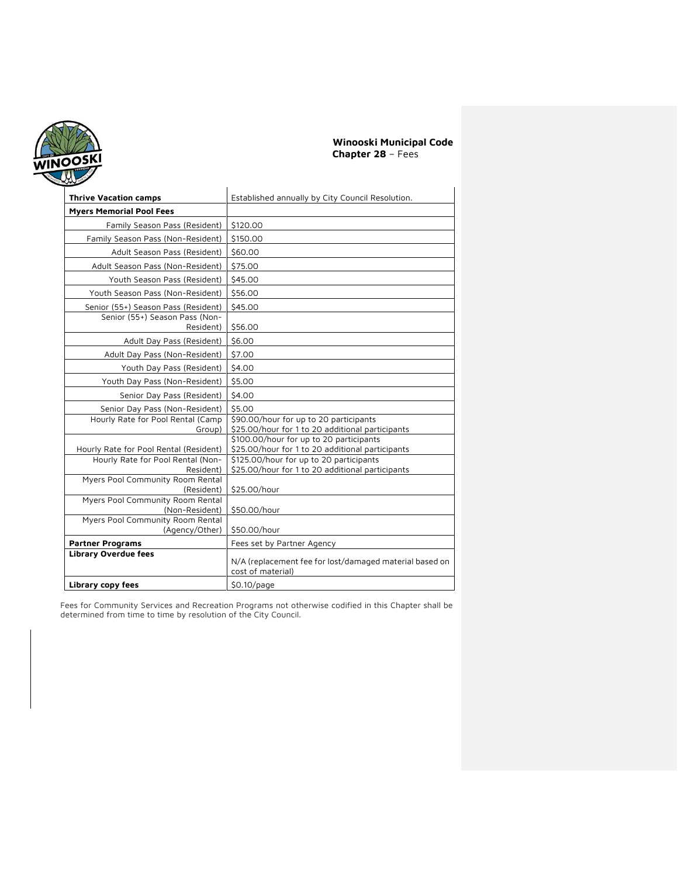

| <b>Thrive Vacation camps</b>                           | Established annually by City Council Resolution.                                            |
|--------------------------------------------------------|---------------------------------------------------------------------------------------------|
| <b>Myers Memorial Pool Fees</b>                        |                                                                                             |
| Family Season Pass (Resident)                          | \$120.00                                                                                    |
| Family Season Pass (Non-Resident)                      | \$150.00                                                                                    |
| Adult Season Pass (Resident)                           | \$60,00                                                                                     |
| Adult Season Pass (Non-Resident)                       | \$75.00                                                                                     |
| Youth Season Pass (Resident)                           | \$45.00                                                                                     |
| Youth Season Pass (Non-Resident)                       | \$56.00                                                                                     |
| Senior (55+) Season Pass (Resident)                    | \$45.00                                                                                     |
| Senior (55+) Season Pass (Non-                         |                                                                                             |
| Resident)                                              | \$56.00                                                                                     |
| Adult Day Pass (Resident)                              | \$6.00                                                                                      |
| Adult Day Pass (Non-Resident)                          | \$7.00                                                                                      |
| Youth Day Pass (Resident)                              | \$4.00                                                                                      |
| Youth Day Pass (Non-Resident)                          | \$5.00                                                                                      |
| Senior Day Pass (Resident)                             | \$4.00                                                                                      |
| Senior Day Pass (Non-Resident)                         | \$5.00                                                                                      |
| Hourly Rate for Pool Rental (Camp                      | \$90.00/hour for up to 20 participants                                                      |
| Group)                                                 | \$25.00/hour for 1 to 20 additional participants<br>\$100.00/hour for up to 20 participants |
| Hourly Rate for Pool Rental (Resident)                 | \$25.00/hour for 1 to 20 additional participants                                            |
| Hourly Rate for Pool Rental (Non-                      | \$125.00/hour for up to 20 participants                                                     |
| Resident)                                              | \$25.00/hour for 1 to 20 additional participants                                            |
| Myers Pool Community Room Rental<br>(Resident)         | \$25.00/hour                                                                                |
| Myers Pool Community Room Rental                       |                                                                                             |
| (Non-Resident)                                         | \$50.00/hour                                                                                |
| Myers Pool Community Room Rental<br>(Agency/Other)     | \$50.00/hour                                                                                |
|                                                        |                                                                                             |
| <b>Partner Programs</b><br><b>Library Overdue fees</b> | Fees set by Partner Agency                                                                  |
|                                                        | N/A (replacement fee for lost/damaged material based on<br>cost of material)                |
| Library copy fees                                      | $$0.10$ /page                                                                               |

Fees for Community Services and Recreation Programs not otherwise codified in this Chapter shall be determined from time to time by resolution of the City Council.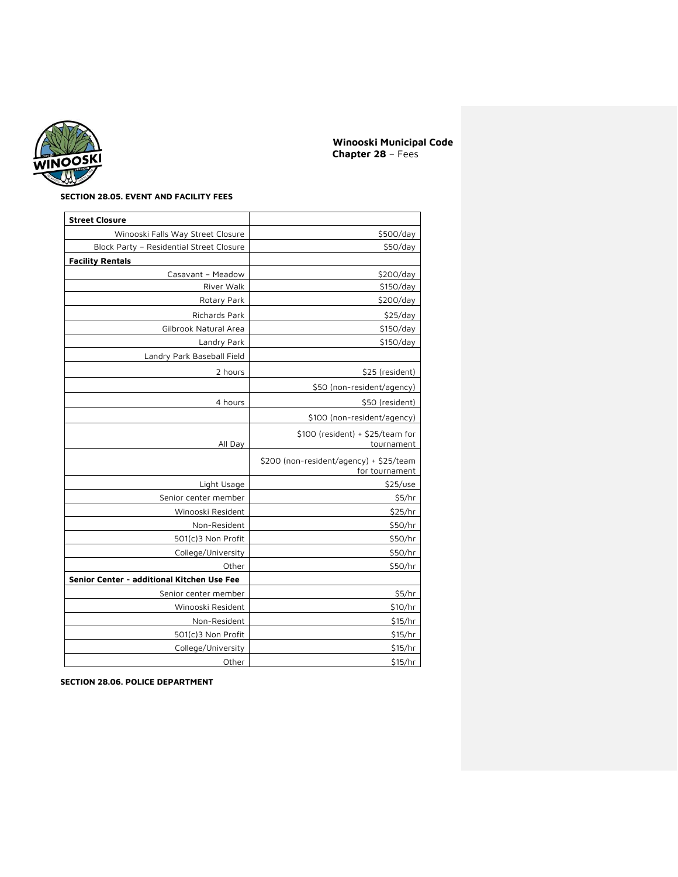

## **SECTION 28.05. EVENT AND FACILITY FEES**

| <b>Street Closure</b>                      |                                                           |
|--------------------------------------------|-----------------------------------------------------------|
| Winooski Falls Way Street Closure          | \$500/day                                                 |
| Block Party - Residential Street Closure   | \$50/day                                                  |
| <b>Facility Rentals</b>                    |                                                           |
| Casavant - Meadow                          | \$200/day                                                 |
| River Walk                                 | \$150/day                                                 |
| Rotary Park                                | \$200/day                                                 |
| Richards Park                              | \$25/day                                                  |
| Gilbrook Natural Area                      | \$150/day                                                 |
| Landry Park                                | \$150/day                                                 |
| Landry Park Baseball Field                 |                                                           |
| 2 hours                                    | \$25 (resident)                                           |
|                                            | \$50 (non-resident/agency)                                |
| 4 hours                                    | \$50 (resident)                                           |
|                                            | \$100 (non-resident/agency)                               |
|                                            | \$100 (resident) + \$25/team for                          |
| All Day                                    | tournament                                                |
|                                            | \$200 (non-resident/agency) + \$25/team<br>for tournament |
| Light Usage                                | \$25/use                                                  |
| Senior center member                       | \$5/hr                                                    |
| Winooski Resident                          | \$25/hr                                                   |
| Non-Resident                               | \$50/hr                                                   |
| 501(c)3 Non Profit                         | \$50/hr                                                   |
| College/University                         | \$50/hr                                                   |
| Other                                      | \$50/hr                                                   |
| Senior Center - additional Kitchen Use Fee |                                                           |
| Senior center member                       | \$5/hr                                                    |
| Winooski Resident                          | \$10/hr                                                   |
| Non-Resident                               | \$15/hr                                                   |
| 501(c)3 Non Profit                         | \$15/hr                                                   |
| College/University                         | \$15/hr                                                   |
| Other                                      | \$15/hr                                                   |

**SECTION 28.06. POLICE DEPARTMENT**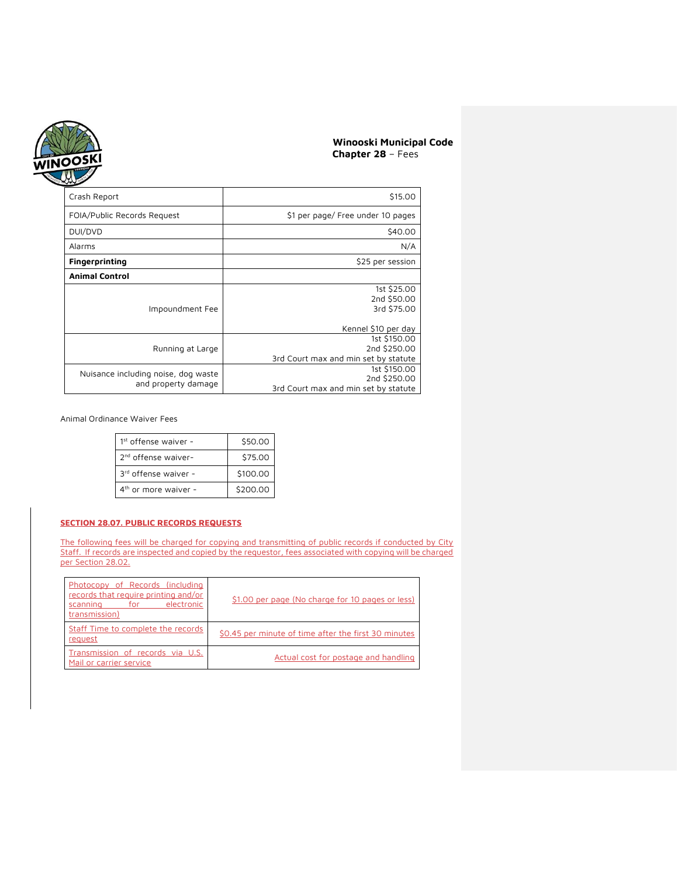

| Crash Report                                               | \$15.00                                                              |
|------------------------------------------------------------|----------------------------------------------------------------------|
| FOIA/Public Records Request                                | \$1 per page/ Free under 10 pages                                    |
| DUI/DVD                                                    | \$40.00                                                              |
| Alarms                                                     | N/A                                                                  |
| <b>Fingerprinting</b>                                      | \$25 per session                                                     |
| <b>Animal Control</b>                                      |                                                                      |
| Impoundment Fee                                            | 1st \$25.00<br>2nd \$50.00<br>3rd \$75.00                            |
|                                                            | Kennel \$10 per day                                                  |
| Running at Large                                           | 1st \$150.00<br>2nd \$250.00<br>3rd Court max and min set by statute |
| Nuisance including noise, dog waste<br>and property damage | 1st \$150.00<br>2nd \$250.00<br>3rd Court max and min set by statute |

Animal Ordinance Waiver Fees

| $1st$ offense waiver -          | \$50.00  |
|---------------------------------|----------|
| 2 <sup>nd</sup> offense waiver- | \$75.00  |
| 3rd offense waiver -            | \$100.00 |
| $4th$ or more waiver -          | \$200.00 |

## **SECTION 28.07. PUBLIC RECORDS REQUESTS**

The following fees will be charged for copying and transmitting of public records if conducted by City Staff. If records are inspected and copied by the requestor, fees associated with copying will be charged per Section 28.02.

| Photocopy of Records (including<br>records that require printing and/or<br>scanning for electronic<br>transmission) | \$1.00 per page (No charge for 10 pages or less)     |
|---------------------------------------------------------------------------------------------------------------------|------------------------------------------------------|
| Staff Time to complete the records<br>request                                                                       | \$0.45 per minute of time after the first 30 minutes |
| Transmission of records via U.S.<br>Mail or carrier service                                                         | Actual cost for postage and handling                 |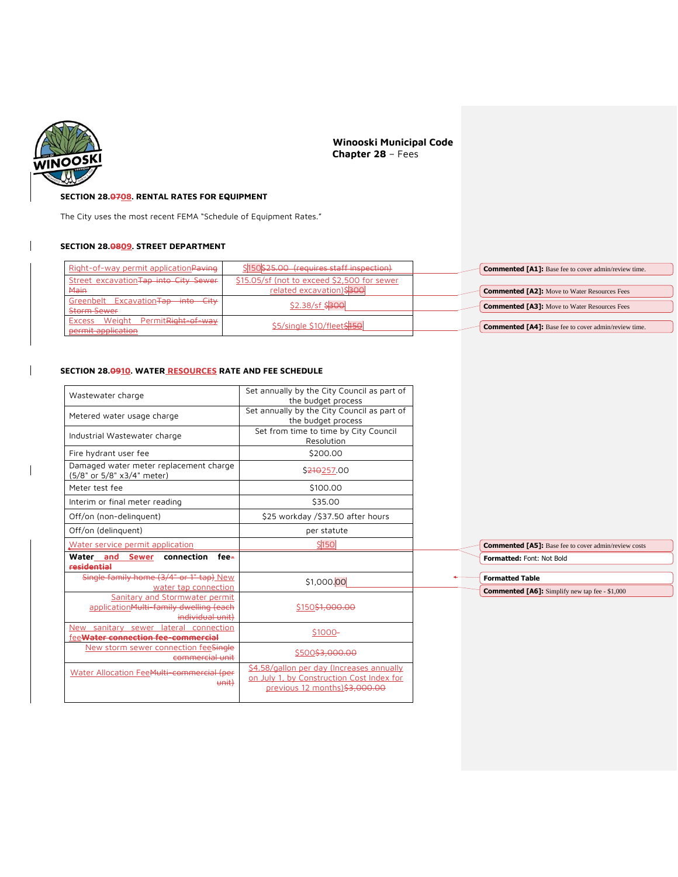

 $\overline{1}$ 

 $\overline{\phantom{a}}$ 

**Winooski Municipal Code Chapter 28** – Fees

## **SECTION 28.0708. RENTAL RATES FOR EQUIPMENT**

The City uses the most recent FEMA "Schedule of Equipment Rates."

## **SECTION 28.0809. STREET DEPARTMENT**

| Right-of-way permit application Paving | \$150\$25.00 (requires staff inspection)    | <b>Commented [A1]:</b> Base fee to cover admin/review time. |
|----------------------------------------|---------------------------------------------|-------------------------------------------------------------|
| Street excavation Tap into City Sewer  | \$15.05/sf (not to exceed \$2,500 for sewer |                                                             |
| Main                                   | related excavation)\$300                    | <b>Commented [A2]:</b> Move to Water Resources Fees         |
| Greenbelt Excavation Tap into City     | \$2.38/sf \$300                             | <b>Commented [A3]:</b> Move to Water Resources Fees         |
| Storm Sewer                            |                                             |                                                             |
| Excess Weight PermitRight-of-way       | \$5/single \$10/fleet\$150                  | <b>Commented [A4]:</b> Base fee to cover admin/review time. |
| permit application                     |                                             |                                                             |

# **SECTION 28.0910. WATER RESOURCES RATE AND FEE SCHEDULE**

| Wastewater charge                                                                            | Set annually by the City Council as part of<br>the budget process                                                       |                                                                                 |
|----------------------------------------------------------------------------------------------|-------------------------------------------------------------------------------------------------------------------------|---------------------------------------------------------------------------------|
| Metered water usage charge                                                                   | Set annually by the City Council as part of<br>the budget process                                                       |                                                                                 |
| Industrial Wastewater charge                                                                 | Set from time to time by City Council<br>Resolution                                                                     |                                                                                 |
| Fire hydrant user fee                                                                        | \$200.00                                                                                                                |                                                                                 |
| Damaged water meter replacement charge<br>(5/8" or 5/8" x3/4" meter)                         | S210257.00                                                                                                              |                                                                                 |
| Meter test fee                                                                               | \$100.00                                                                                                                |                                                                                 |
| Interim or final meter reading                                                               | \$35.00                                                                                                                 |                                                                                 |
| Off/on (non-delinguent)                                                                      | \$25 workday /\$37.50 after hours                                                                                       |                                                                                 |
| Off/on (delinquent)                                                                          | per statute                                                                                                             |                                                                                 |
| Water service permit application                                                             | \$ 150                                                                                                                  | <b>Commented [A5]:</b> Base fee to cover admin/review costs                     |
| Water and Sewer connection<br>fee-<br><b>residential</b>                                     |                                                                                                                         | Formatted: Font: Not Bold                                                       |
| Single family home (3/4" or 1" tap) New<br>water tap connection                              | \$1,000.00                                                                                                              | <b>Formatted Table</b><br><b>Commented [A6]:</b> Simplify new tap fee - \$1,000 |
| Sanitary and Stormwater permit<br>applicationMulti-family dwelling (each<br>individual unit) | \$150\$1,000,00                                                                                                         |                                                                                 |
| New sanitary sewer lateral connection<br>feeWater connection fee-commercial                  | \$1000-                                                                                                                 |                                                                                 |
| New storm sewer connection feeSingle<br>commercial unit                                      | \$500\$3,000.00                                                                                                         |                                                                                 |
| Water Allocation FeeMulti-commercial (per<br><del>unit</del> )                               | \$4.58/gallon per day (Increases annually<br>on July 1, by Construction Cost Index for<br>previous 12 months)\$3,000.00 |                                                                                 |
|                                                                                              |                                                                                                                         |                                                                                 |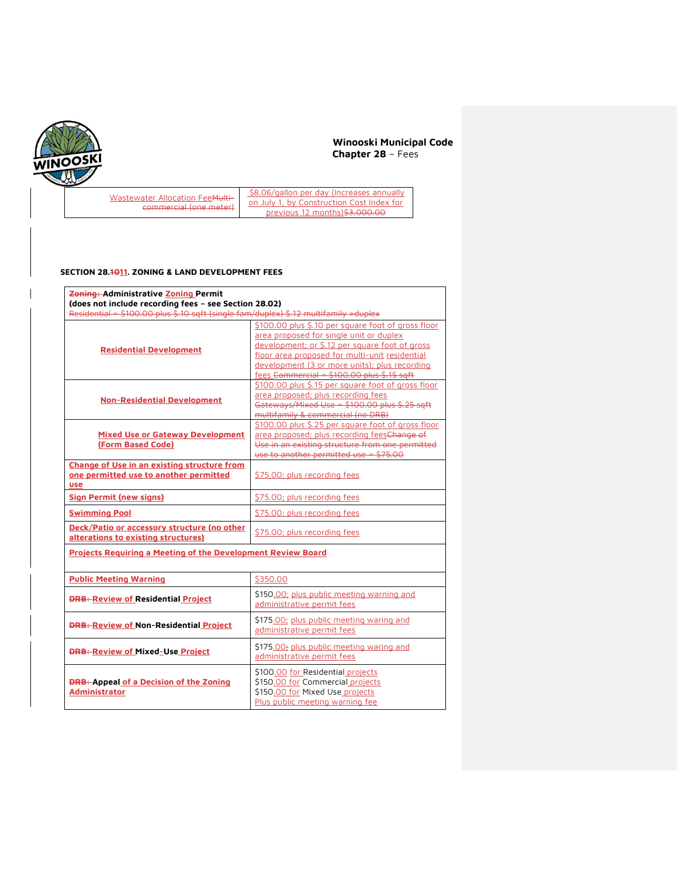

 $\mathbf{r}$ 

# **Winooski Municipal Code Chapter 28** – Fees

Wastewater Allocation FeeMulticommercial (one meter)

\$8.06/gallon per day (Increases annually on July 1, by Construction Cost Index for previous 12 months)\$3,000.00

## **SECTION 28.1011. ZONING & LAND DEVELOPMENT FEES**

| Zoning: Administrative Zoning Permit<br>(does not include recording fees - see Section 28.02)       |                                                                                                                                                                                                                                                                                                  |  |  |  |
|-----------------------------------------------------------------------------------------------------|--------------------------------------------------------------------------------------------------------------------------------------------------------------------------------------------------------------------------------------------------------------------------------------------------|--|--|--|
| Residential = \$100.00 plus \$.10 sqft (single fam/duplex) \$.12 multifamily > duplex               |                                                                                                                                                                                                                                                                                                  |  |  |  |
| <b>Residential Development</b>                                                                      | \$100.00 plus \$.10 per square foot of gross floor<br>area proposed for single unit or duplex<br>development; or \$.12 per square foot of gross<br>floor area proposed for multi-unit residential<br>development (3 or more units); plus recording<br>fees Commercial = \$100.00 plus \$.15 sqft |  |  |  |
| <b>Non-Residential Development</b>                                                                  | \$100.00 plus \$.15 per square foot of gross floor<br>area proposed; plus recording fees<br>Gateways/Mixed Use = \$100.00 plus \$.25 sqft<br>multifamily & commercial (no DRB)                                                                                                                   |  |  |  |
| <b>Mixed Use or Gateway Development</b><br>(Form Based Code)                                        | \$100.00 plus \$.25 per square foot of gross floor<br>area proposed; plus recording feesChange of<br>Use in an existing structure from one permitted<br>use to another permitted use = \$75.00                                                                                                   |  |  |  |
| Change of Use in an existing structure from<br>one permitted use to another permitted<br><b>use</b> | \$75.00; plus recording fees                                                                                                                                                                                                                                                                     |  |  |  |
| <b>Sign Permit (new signs)</b>                                                                      | \$75.00; plus recording fees                                                                                                                                                                                                                                                                     |  |  |  |
| <b>Swimming Pool</b>                                                                                | \$75.00; plus recording fees                                                                                                                                                                                                                                                                     |  |  |  |
| Deck/Patio or accessory structure (no other<br>alterations to existing structures)                  | \$75.00; plus recording fees                                                                                                                                                                                                                                                                     |  |  |  |
| <b>Projects Requiring a Meeting of the Development Review Board</b>                                 |                                                                                                                                                                                                                                                                                                  |  |  |  |
| <b>Public Meeting Warning</b>                                                                       | \$350.00                                                                                                                                                                                                                                                                                         |  |  |  |
| <b>DRB: Review of Residential Project</b>                                                           | \$150.00; plus public meeting warning and<br>administrative permit fees                                                                                                                                                                                                                          |  |  |  |
| <b>DRB: Review of Non-Residential Project</b>                                                       | \$175.00; plus public meeting waring and<br>administrative permit fees                                                                                                                                                                                                                           |  |  |  |
| <b>DRB: Review of Mixed-Use Project</b>                                                             | \$175.00; plus public meeting waring and<br>administrative permit fees                                                                                                                                                                                                                           |  |  |  |
| <b>DRB: Appeal of a Decision of the Zoning</b><br><b>Administrator</b>                              | \$100.00 for Residential projects<br>\$150.00 for Commercial projects<br>\$150.00 for Mixed Use projects<br>Plus public meeting warning fee                                                                                                                                                      |  |  |  |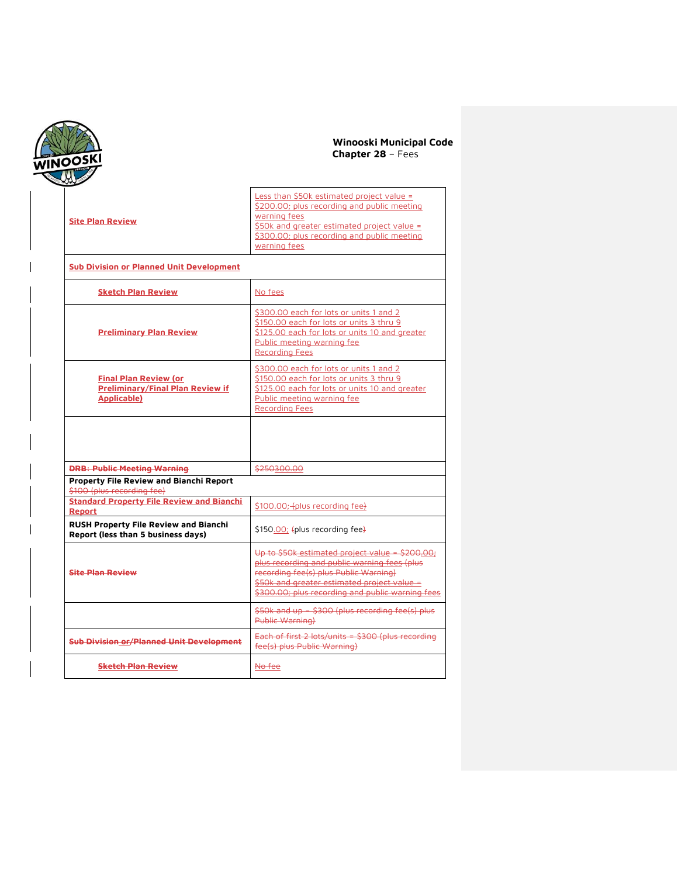

| <b>Site Plan Review</b>                                                                | Less than \$50k estimated project value =<br>\$200.00; plus recording and public meeting<br>warning fees<br>\$50k and greater estimated project value =<br>\$300.00; plus recording and public meeting<br>warning fees                      |
|----------------------------------------------------------------------------------------|---------------------------------------------------------------------------------------------------------------------------------------------------------------------------------------------------------------------------------------------|
| <b>Sub Division or Planned Unit Development</b>                                        |                                                                                                                                                                                                                                             |
| <b>Sketch Plan Review</b>                                                              | No fees                                                                                                                                                                                                                                     |
| <b>Preliminary Plan Review</b>                                                         | \$300.00 each for lots or units 1 and 2<br>\$150.00 each for lots or units 3 thru 9<br>\$125.00 each for lots or units 10 and greater<br>Public meeting warning fee<br><b>Recording Fees</b>                                                |
| <b>Final Plan Review (or</b><br><b>Preliminary/Final Plan Review if</b><br>Applicable) | \$300.00 each for lots or units 1 and 2<br>\$150.00 each for lots or units 3 thru 9<br>\$125.00 each for lots or units 10 and greater<br>Public meeting warning fee<br><b>Recording Fees</b>                                                |
|                                                                                        |                                                                                                                                                                                                                                             |
| <b>DRB: Public Meeting Warning</b>                                                     | \$250300.00                                                                                                                                                                                                                                 |
| Property File Review and Bianchi Report<br>\$100 (plus recording fee)                  |                                                                                                                                                                                                                                             |
| <b>Standard Property File Review and Bianchi</b><br>Report                             | \$100.00; folus recording fee}                                                                                                                                                                                                              |
| <b>RUSH Property File Review and Bianchi</b><br>Report (less than 5 business days)     | \$150.00; fplus recording fee}                                                                                                                                                                                                              |
| <b>Site Plan Review</b>                                                                | Up to \$50k estimated project value = \$200.00;<br>plus recording and public warning fees (plus<br>recording fee(s) plus Public Warning)<br>\$50k and greater estimated project value =<br>\$300.00; plus recording and public warning fees |
|                                                                                        | $$50k$ and up = $$300$ (plus recording fee(s) plus<br>Public Warning)                                                                                                                                                                       |
| <b>Sub Division or/Planned Unit Development</b>                                        | Each of first 2 lots/units = \$300 (plus recording<br>fee(s) plus Public Warning)                                                                                                                                                           |
| <b>Sketch Plan Review</b>                                                              | No fee                                                                                                                                                                                                                                      |